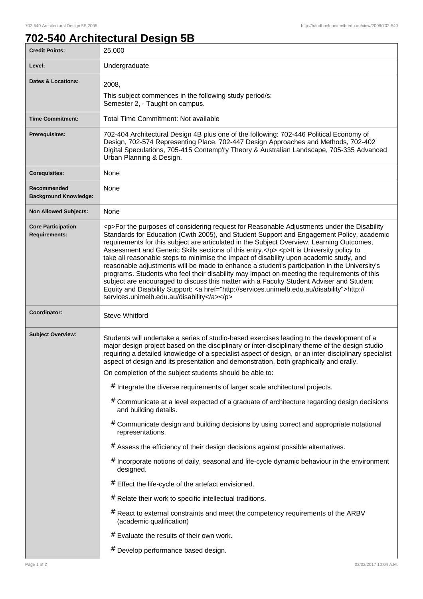٦

## **702-540 Architectural Design 5B**

| <b>Credit Points:</b>                             | 25.000                                                                                                                                                                                                                                                                                                                                                                                                                                                                                                                                                                                                                                                                                                                                                                                                                                                                                                                                                                                                                                                                                                                                                                                                                                                            |
|---------------------------------------------------|-------------------------------------------------------------------------------------------------------------------------------------------------------------------------------------------------------------------------------------------------------------------------------------------------------------------------------------------------------------------------------------------------------------------------------------------------------------------------------------------------------------------------------------------------------------------------------------------------------------------------------------------------------------------------------------------------------------------------------------------------------------------------------------------------------------------------------------------------------------------------------------------------------------------------------------------------------------------------------------------------------------------------------------------------------------------------------------------------------------------------------------------------------------------------------------------------------------------------------------------------------------------|
| Level:                                            | Undergraduate                                                                                                                                                                                                                                                                                                                                                                                                                                                                                                                                                                                                                                                                                                                                                                                                                                                                                                                                                                                                                                                                                                                                                                                                                                                     |
| Dates & Locations:                                | 2008,<br>This subject commences in the following study period/s:<br>Semester 2, - Taught on campus.                                                                                                                                                                                                                                                                                                                                                                                                                                                                                                                                                                                                                                                                                                                                                                                                                                                                                                                                                                                                                                                                                                                                                               |
| <b>Time Commitment:</b>                           | <b>Total Time Commitment: Not available</b>                                                                                                                                                                                                                                                                                                                                                                                                                                                                                                                                                                                                                                                                                                                                                                                                                                                                                                                                                                                                                                                                                                                                                                                                                       |
| Prerequisites:                                    | 702-404 Architectural Design 4B plus one of the following: 702-446 Political Economy of<br>Design, 702-574 Representing Place, 702-447 Design Approaches and Methods, 702-402<br>Digital Speculations, 705-415 Contemp'ry Theory & Australian Landscape, 705-335 Advanced<br>Urban Planning & Design.                                                                                                                                                                                                                                                                                                                                                                                                                                                                                                                                                                                                                                                                                                                                                                                                                                                                                                                                                             |
| <b>Corequisites:</b>                              | None                                                                                                                                                                                                                                                                                                                                                                                                                                                                                                                                                                                                                                                                                                                                                                                                                                                                                                                                                                                                                                                                                                                                                                                                                                                              |
| Recommended<br><b>Background Knowledge:</b>       | None                                                                                                                                                                                                                                                                                                                                                                                                                                                                                                                                                                                                                                                                                                                                                                                                                                                                                                                                                                                                                                                                                                                                                                                                                                                              |
| <b>Non Allowed Subjects:</b>                      | None                                                                                                                                                                                                                                                                                                                                                                                                                                                                                                                                                                                                                                                                                                                                                                                                                                                                                                                                                                                                                                                                                                                                                                                                                                                              |
| <b>Core Participation</b><br><b>Requirements:</b> | <p>For the purposes of considering request for Reasonable Adjustments under the Disability<br/>Standards for Education (Cwth 2005), and Student Support and Engagement Policy, academic<br/>requirements for this subject are articulated in the Subject Overview, Learning Outcomes,<br/>Assessment and Generic Skills sections of this entry.</p> <p>lt is University policy to<br/>take all reasonable steps to minimise the impact of disability upon academic study, and<br/>reasonable adjustments will be made to enhance a student's participation in the University's<br/>programs. Students who feel their disability may impact on meeting the requirements of this<br/>subject are encouraged to discuss this matter with a Faculty Student Adviser and Student<br/>Equity and Disability Support: &lt; a href="http://services.unimelb.edu.au/disability"&gt;http://<br/>services.unimelb.edu.au/disability</p>                                                                                                                                                                                                                                                                                                                                      |
| Coordinator:                                      | <b>Steve Whitford</b>                                                                                                                                                                                                                                                                                                                                                                                                                                                                                                                                                                                                                                                                                                                                                                                                                                                                                                                                                                                                                                                                                                                                                                                                                                             |
| <b>Subject Overview:</b>                          | Students will undertake a series of studio-based exercises leading to the development of a<br>major design project based on the disciplinary or inter-disciplinary theme of the design studio<br>requiring a detailed knowledge of a specialist aspect of design, or an inter-disciplinary specialist<br>aspect of design and its presentation and demonstration, both graphically and orally.<br>On completion of the subject students should be able to:<br># Integrate the diverse requirements of larger scale architectural projects.<br># Communicate at a level expected of a graduate of architecture regarding design decisions<br>and building details.<br># Communicate design and building decisions by using correct and appropriate notational<br>representations.<br># Assess the efficiency of their design decisions against possible alternatives.<br># Incorporate notions of daily, seasonal and life-cycle dynamic behaviour in the environment<br>designed.<br># Effect the life-cycle of the artefact envisioned.<br># Relate their work to specific intellectual traditions.<br># React to external constraints and meet the competency requirements of the ARBV<br>(academic qualification)<br># Evaluate the results of their own work. |